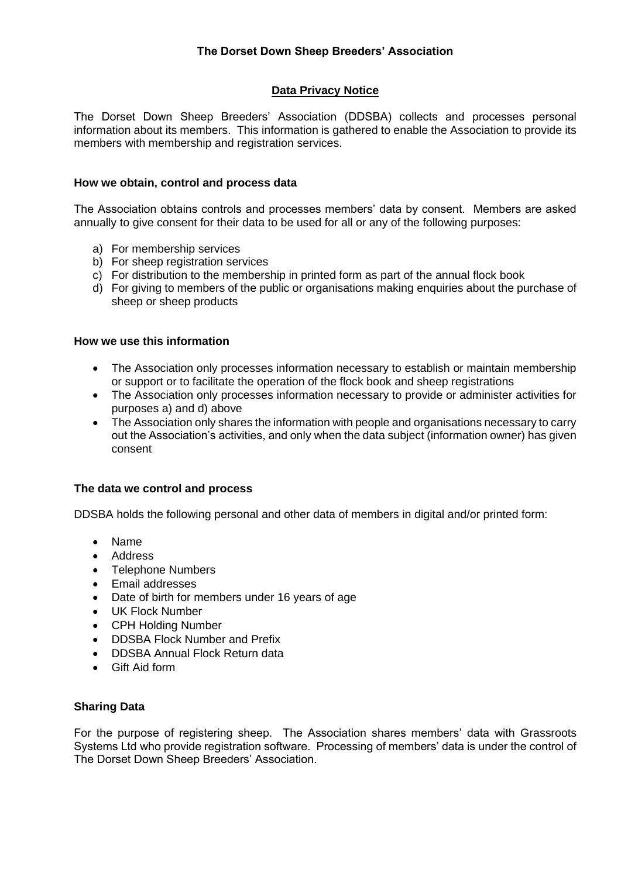# **Data Privacy Notice**

The Dorset Down Sheep Breeders' Association (DDSBA) collects and processes personal information about its members. This information is gathered to enable the Association to provide its members with membership and registration services.

### **How we obtain, control and process data**

The Association obtains controls and processes members' data by consent. Members are asked annually to give consent for their data to be used for all or any of the following purposes:

- a) For membership services
- b) For sheep registration services
- c) For distribution to the membership in printed form as part of the annual flock book
- d) For giving to members of the public or organisations making enquiries about the purchase of sheep or sheep products

#### **How we use this information**

- The Association only processes information necessary to establish or maintain membership or support or to facilitate the operation of the flock book and sheep registrations
- The Association only processes information necessary to provide or administer activities for purposes a) and d) above
- The Association only shares the information with people and organisations necessary to carry out the Association's activities, and only when the data subject (information owner) has given consent

#### **The data we control and process**

DDSBA holds the following personal and other data of members in digital and/or printed form:

- Name
- Address
- Telephone Numbers
- Email addresses
- Date of birth for members under 16 years of age
- UK Flock Number
- CPH Holding Number
- DDSBA Flock Number and Prefix
- DDSBA Annual Flock Return data
- Gift Aid form

#### **Sharing Data**

For the purpose of registering sheep. The Association shares members' data with Grassroots Systems Ltd who provide registration software. Processing of members' data is under the control of The Dorset Down Sheep Breeders' Association.